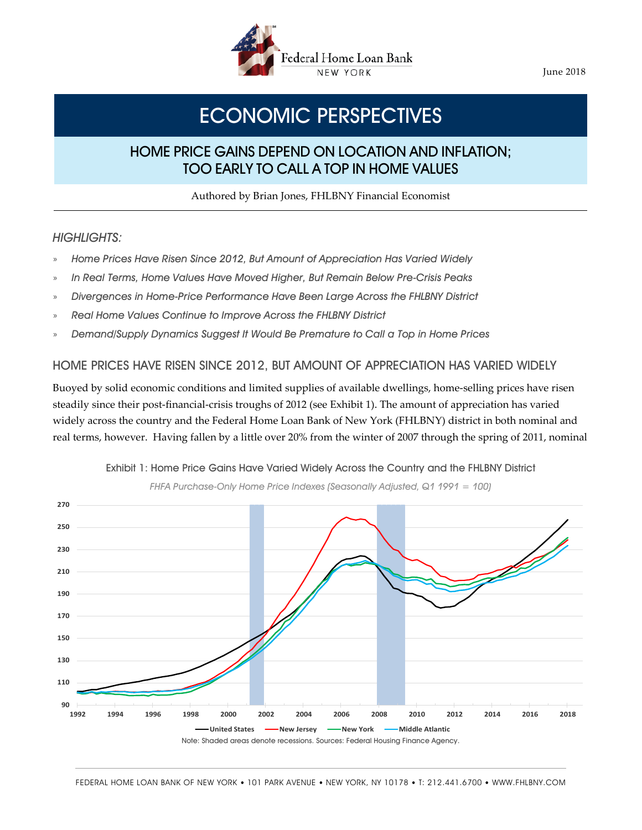

June 2018

# ECONOMIC PERSPECTIVES

## HOME PRICE GAINS DEPEND ON LOCATION AND INFLATION; TOO EARLY TO CALL A TOP IN HOME VALUES

Authored by Brian Jones, FHLBNY Financial Economist

#### **HIGHLIGHTS:**

- » Home Prices Have Risen Since 2012, But Amount of Appreciation Has Varied Widely
- » In Real Terms, Home Values Have Moved Higher, But Remain Below Pre-Crisis Peaks
- » Divergences in Home-Price Performance Have Been Large Across the FHLBNY District
- » Real Home Values Continue to Improve Across the FHLBNY District
- » Demand/Supply Dynamics Suggest It Would Be Premature to Call a Top in Home Prices

#### HOME PRICES HAVE RISEN SINCE 2012, BUT AMOUNT OF APPRECIATION HAS VARIED WIDELY

Buoyed by solid economic conditions and limited supplies of available dwellings, home-selling prices have risen steadily since their post-financial-crisis troughs of 2012 (see Exhibit 1). The amount of appreciation has varied widely across the country and the Federal Home Loan Bank of New York (FHLBNY) district in both nominal and real terms, however. Having fallen by a little over 20% from the winter of 2007 through the spring of 2011, nominal



Exhibit 1: Home Price Gains Have Varied Widely Across the Country and the FHLBNY District

FHFA Purchase-Only Home Price Indexes (Seasonally Adjusted, Q1 1991 = 100)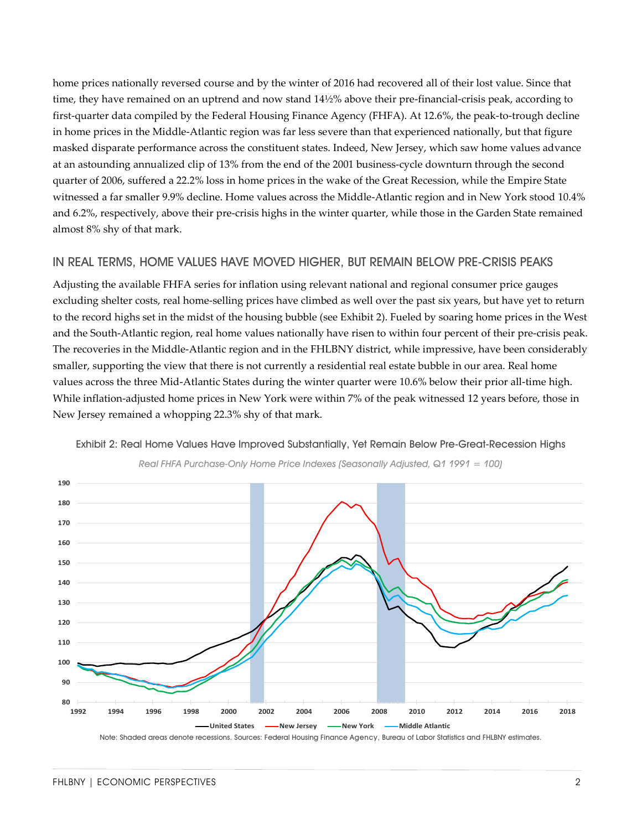home prices nationally reversed course and by the winter of 2016 had recovered all of their lost value. Since that time, they have remained on an uptrend and now stand 14½% above their pre-financial-crisis peak, according to first-quarter data compiled by the Federal Housing Finance Agency (FHFA). At 12.6%, the peak-to-trough decline in home prices in the Middle-Atlantic region was far less severe than that experienced nationally, but that figure masked disparate performance across the constituent states. Indeed, New Jersey, which saw home values advance at an astounding annualized clip of 13% from the end of the 2001 business-cycle downturn through the second quarter of 2006, suffered a 22.2% loss in home prices in the wake of the Great Recession, while the Empire State witnessed a far smaller 9.9% decline. Home values across the Middle-Atlantic region and in New York stood 10.4% and 6.2%, respectively, above their pre-crisis highs in the winter quarter, while those in the Garden State remained almost 8% shy of that mark.

#### IN REAL TERMS, HOME VALUES HAVE MOVED HIGHER, BUT REMAIN BELOW PRE-CRISIS PEAKS

Adjusting the available FHFA series for inflation using relevant national and regional consumer price gauges excluding shelter costs, real home-selling prices have climbed as well over the past six years, but have yet to return to the record highs set in the midst of the housing bubble (see Exhibit 2). Fueled by soaring home prices in the West and the South-Atlantic region, real home values nationally have risen to within four percent of their pre-crisis peak. The recoveries in the Middle-Atlantic region and in the FHLBNY district, while impressive, have been considerably smaller, supporting the view that there is not currently a residential real estate bubble in our area. Real home values across the three Mid-Atlantic States during the winter quarter were 10.6% below their prior all-time high. While inflation-adjusted home prices in New York were within 7% of the peak witnessed 12 years before, those in New Jersey remained a whopping 22.3% shy of that mark.



Exhibit 2: Real Home Values Have Improved Substantially, Yet Remain Below Pre-Great-Recession Highs



Real FHFA Purchase-Only Home Price Indexes (Seasonally Adjusted, Q1 1991 = 100)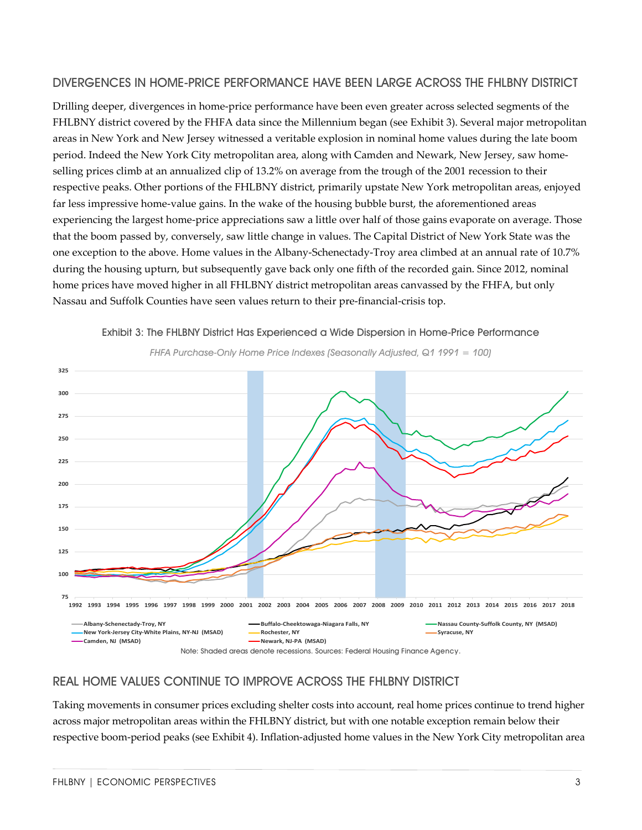#### DIVERGENCES IN HOME-PRICE PERFORMANCE HAVE BEEN LARGE ACROSS THE FHLBNY DISTRICT

Drilling deeper, divergences in home-price performance have been even greater across selected segments of the FHLBNY district covered by the FHFA data since the Millennium began (see Exhibit 3). Several major metropolitan areas in New York and New Jersey witnessed a veritable explosion in nominal home values during the late boom period. Indeed the New York City metropolitan area, along with Camden and Newark, New Jersey, saw homeselling prices climb at an annualized clip of 13.2% on average from the trough of the 2001 recession to their respective peaks. Other portions of the FHLBNY district, primarily upstate New York metropolitan areas, enjoyed far less impressive home-value gains. In the wake of the housing bubble burst, the aforementioned areas experiencing the largest home-price appreciations saw a little over half of those gains evaporate on average. Those that the boom passed by, conversely, saw little change in values. The Capital District of New York State was the one exception to the above. Home values in the Albany-Schenectady-Troy area climbed at an annual rate of 10.7% during the housing upturn, but subsequently gave back only one fifth of the recorded gain. Since 2012, nominal home prices have moved higher in all FHLBNY district metropolitan areas canvassed by the FHFA, but only Nassau and Suffolk Counties have seen values return to their pre-financial-crisis top.



Exhibit 3: The FHLBNY District Has Experienced a Wide Dispersion in Home-Price Performance





### REAL HOME VALUES CONTINUE TO IMPROVE ACROSS THE FHLBNY DISTRICT

Taking movements in consumer prices excluding shelter costs into account, real home prices continue to trend higher across major metropolitan areas within the FHLBNY district, but with one notable exception remain below their respective boom-period peaks (see Exhibit 4). Inflation-adjusted home values in the New York City metropolitan area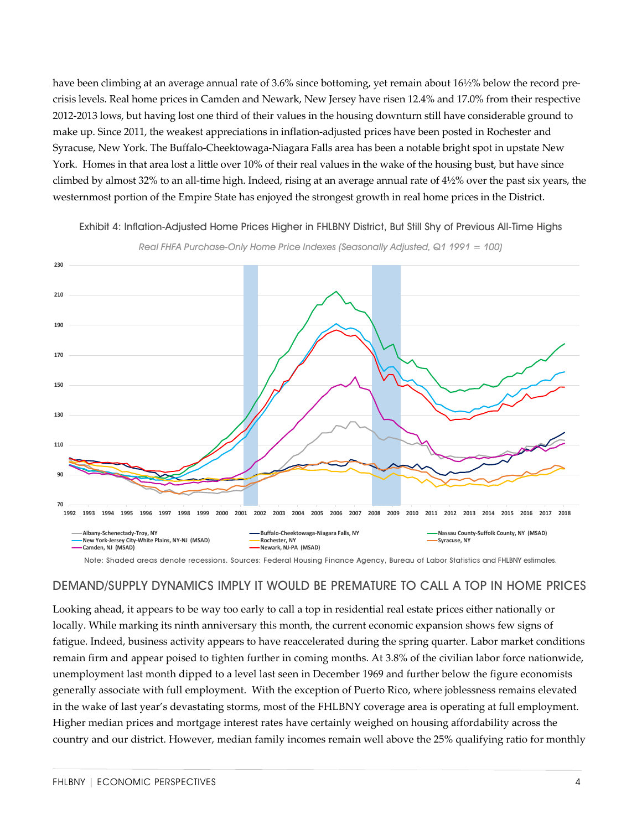have been climbing at an average annual rate of 3.6% since bottoming, yet remain about 16½% below the record precrisis levels. Real home prices in Camden and Newark, New Jersey have risen 12.4% and 17.0% from their respective 2012-2013 lows, but having lost one third of their values in the housing downturn still have considerable ground to make up. Since 2011, the weakest appreciations in inflation-adjusted prices have been posted in Rochester and Syracuse, New York. The Buffalo-Cheektowaga-Niagara Falls area has been a notable bright spot in upstate New York. Homes in that area lost a little over 10% of their real values in the wake of the housing bust, but have since climbed by almost 32% to an all-time high. Indeed, rising at an average annual rate of 4½% over the past six years, the westernmost portion of the Empire State has enjoyed the strongest growth in real home prices in the District.



Exhibit 4: Inflation-Adjusted Home Prices Higher in FHLBNY District, But Still Shy of Previous All-Time Highs

Note: Shaded areas denote recessions. Sources: Federal Housing Finance Agency, Bureau of Labor Statistics and FHLBNY estimates.

#### DEMAND/SUPPLY DYNAMICS IMPLY IT WOULD BE PREMATURE TO CALL A TOP IN HOME PRICES

Looking ahead, it appears to be way too early to call a top in residential real estate prices either nationally or locally. While marking its ninth anniversary this month, the current economic expansion shows few signs of fatigue. Indeed, business activity appears to have reaccelerated during the spring quarter. Labor market conditions remain firm and appear poised to tighten further in coming months. At 3.8% of the civilian labor force nationwide, unemployment last month dipped to a level last seen in December 1969 and further below the figure economists generally associate with full employment. With the exception of Puerto Rico, where joblessness remains elevated in the wake of last year's devastating storms, most of the FHLBNY coverage area is operating at full employment. Higher median prices and mortgage interest rates have certainly weighed on housing affordability across the country and our district. However, median family incomes remain well above the 25% qualifying ratio for monthly

Real FHFA Purchase-Only Home Price Indexes (Seasonally Adjusted, Q1 1991 = 100)